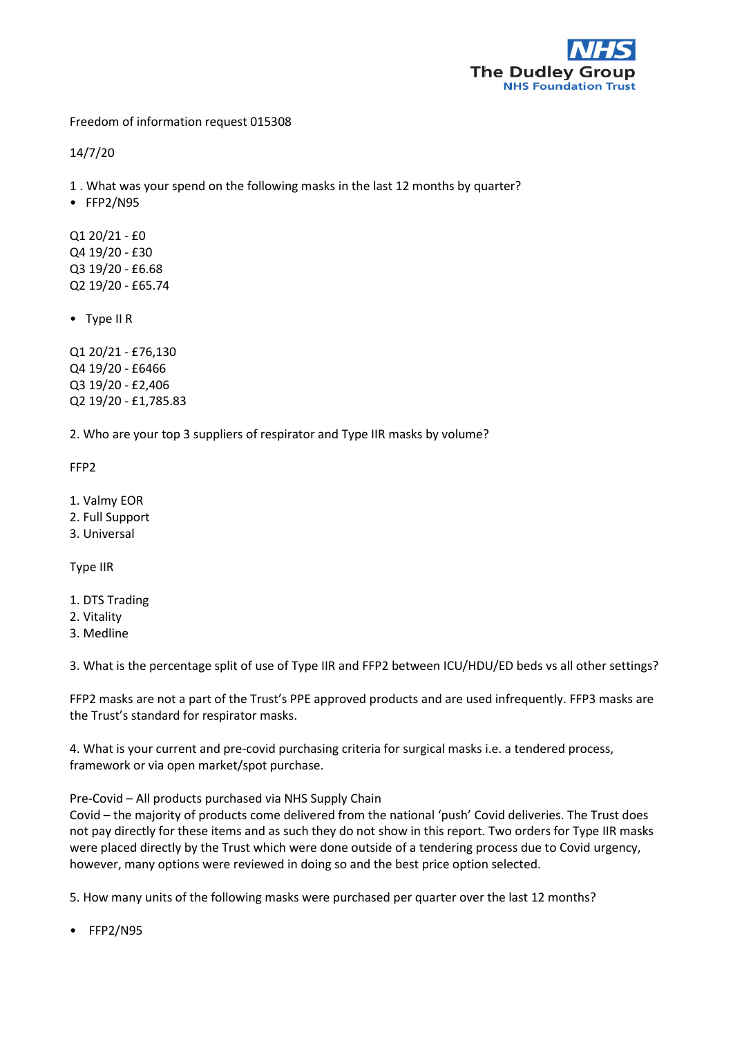

Freedom of information request 015308

14/7/20

1 . What was your spend on the following masks in the last 12 months by quarter?

• FFP2/N95

Q1 20/21 - £0 Q4 19/20 - £30 Q3 19/20 - £6.68 Q2 19/20 - £65.74

• Type II R

Q1 20/21 - £76,130 Q4 19/20 - £6466 Q3 19/20 - £2,406 Q2 19/20 - £1,785.83

2. Who are your top 3 suppliers of respirator and Type IIR masks by volume?

FFP2

- 1. Valmy EOR
- 2. Full Support
- 3. Universal

Type IIR

- 1. DTS Trading
- 2. Vitality
- 3. Medline

3. What is the percentage split of use of Type IIR and FFP2 between ICU/HDU/ED beds vs all other settings?

FFP2 masks are not a part of the Trust's PPE approved products and are used infrequently. FFP3 masks are the Trust's standard for respirator masks.

4. What is your current and pre-covid purchasing criteria for surgical masks i.e. a tendered process, framework or via open market/spot purchase.

Pre-Covid – All products purchased via NHS Supply Chain

Covid – the majority of products come delivered from the national 'push' Covid deliveries. The Trust does not pay directly for these items and as such they do not show in this report. Two orders for Type IIR masks were placed directly by the Trust which were done outside of a tendering process due to Covid urgency, however, many options were reviewed in doing so and the best price option selected.

5. How many units of the following masks were purchased per quarter over the last 12 months?

• FFP2/N95